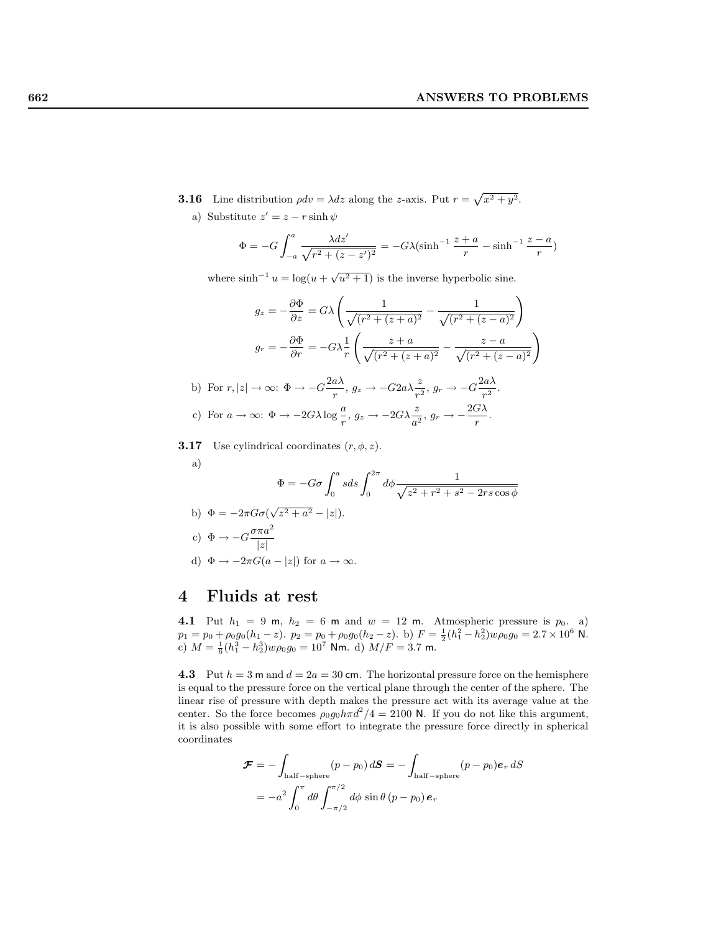- **3.16** Line distribution  $\rho dv = \lambda dz$  along the z-axis. Put  $r = \sqrt{x^2 + y^2}$ . a) Substitute  $z' = z - r \sinh \psi$ 
	- $\Phi = -G \int^a$  $-a$  $\lambda dz'$  $\frac{\lambda dz'}{\sqrt{r^2 + (z - z')^2}} = -G\lambda(\sinh^{-1}\frac{z+a}{r} - \sinh^{-1}\frac{z-a}{r})$

where  $\sinh^{-1} u = \log(u + \sqrt{u^2 + 1})$  is the inverse hyperbolic sine.

$$
g_z = -\frac{\partial \Phi}{\partial z} = G\lambda \left( \frac{1}{\sqrt{(r^2 + (z+a)^2}} - \frac{1}{\sqrt{(r^2 + (z-a)^2}}) \right)
$$

$$
g_r = -\frac{\partial \Phi}{\partial r} = -G\lambda \frac{1}{r} \left( \frac{z+a}{\sqrt{(r^2 + (z+a)^2}} - \frac{z-a}{\sqrt{(r^2 + (z-a)^2}}) \right)
$$

$$
r, |z| \to \infty: \Phi \to -G\frac{2a\lambda}{r}, \ g_z \to -G2a\lambda \frac{z}{r^2}, \ g_r \to -G\frac{2a\lambda}{r^2}.
$$

c) For 
$$
a \to \infty
$$
:  $\Phi \to -2G\lambda \log \frac{a}{r}$ ,  $g_z \to -2G\lambda \frac{z}{a^2}$ ,  $g_r \to -\frac{2G\lambda}{r}$ .

**3.17** Use cylindrical coordinates  $(r, \phi, z)$ .

a)

b) For

$$
\Phi = -G\sigma \int_0^a s ds \int_0^{2\pi} d\phi \frac{1}{\sqrt{z^2 + r^2 + s^2 - 2rs \cos \phi}}
$$
  
b)  $\Phi = -2\pi G\sigma (\sqrt{z^2 + a^2} - |z|).$   
c)  $\Phi \to -G \frac{\sigma \pi a^2}{|z|}$   
d)  $\Phi \to -2\pi G(a - |z|)$  for  $a \to \infty.$ 

## 4 Fluids at rest

4.1 Put  $h_1 = 9$  m,  $h_2 = 6$  m and  $w = 12$  m. Atmospheric pressure is  $p_0$ . a)  $p_1 = p_0 + \rho_0 g_0 (h_1 - z)$ .  $p_2 = p_0 + \rho_0 g_0 (h_2 - z)$ . b)  $F = \frac{1}{2} (h_1^2 - h_2^2) w \rho_0 g_0 = 2.7 \times 10^6$  N. c)  $M = \frac{1}{6}(h_1^3 - h_2^3)w\rho_0 g_0 = 10^7$  Nm. d)  $M/F = 3.7$  m.

4.3 Put  $h = 3$  m and  $d = 2a = 30$  cm. The horizontal pressure force on the hemisphere is equal to the pressure force on the vertical plane through the center of the sphere. The linear rise of pressure with depth makes the pressure act with its average value at the center. So the force becomes  $\rho_0 g_0 h \pi d^2/4 = 2100$  N. If you do not like this argument, it is also possible with some effort to integrate the pressure force directly in spherical coordinates

$$
\mathcal{F} = -\int_{\text{half-sphere}} (p - p_0) dS = -\int_{\text{half-sphere}} (p - p_0) e_r dS
$$

$$
= -a^2 \int_0^{\pi} d\theta \int_{-\pi/2}^{\pi/2} d\phi \sin \theta (p - p_0) e_r
$$